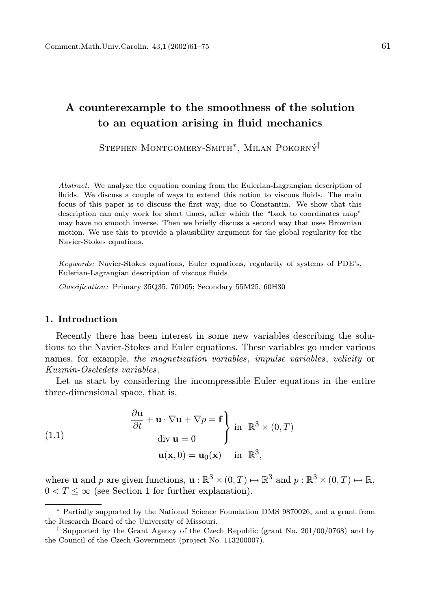# A counterexample to the smoothness of the solution to an equation arising in fluid mechanics

Stephen Montgomery-Smith<sup>\*</sup>, Milan Pokorný<sup>†</sup>

Abstract. We analyze the equation coming from the Eulerian-Lagrangian description of fluids. We discuss a couple of ways to extend this notion to viscous fluids. The main focus of this paper is to discuss the first way, due to Constantin. We show that this description can only work for short times, after which the "back to coordinates map" may have no smooth inverse. Then we briefly discuss a second way that uses Brownian motion. We use this to provide a plausibility argument for the global regularity for the Navier-Stokes equations.

Keywords: Navier-Stokes equations, Euler equations, regularity of systems of PDE's, Eulerian-Lagrangian description of viscous fluids

Classification: Primary 35Q35, 76D05; Secondary 55M25, 60H30

### 1. Introduction

Recently there has been interest in some new variables describing the solutions to the Navier-Stokes and Euler equations. These variables go under various names, for example, the magnetization variables, impulse variables, velicity or Kuzmin-Oseledets variables.

Let us start by considering the incompressible Euler equations in the entire three-dimensional space, that is,

(1.1) 
$$
\begin{aligned}\n\frac{\partial \mathbf{u}}{\partial t} + \mathbf{u} \cdot \nabla \mathbf{u} + \nabla p &= \mathbf{f} \\
\text{div } \mathbf{u} &= 0 \\
\mathbf{u}(\mathbf{x}, 0) &= \mathbf{u}_0(\mathbf{x}) \quad \text{in } \mathbb{R}^3,\n\end{aligned}
$$

where **u** and p are given functions,  $\mathbf{u} : \mathbb{R}^3 \times (0,T) \mapsto \mathbb{R}^3$  and  $p : \mathbb{R}^3 \times (0,T) \mapsto \mathbb{R}$ ,  $0 < T < \infty$  (see Section 1 for further explanation).

<sup>∗</sup> Partially supported by the National Science Foundation DMS 9870026, and a grant from the Research Board of the University of Missouri.

<sup>†</sup> Supported by the Grant Agency of the Czech Republic (grant No. 201/00/0768) and by the Council of the Czech Government (project No. 113200007).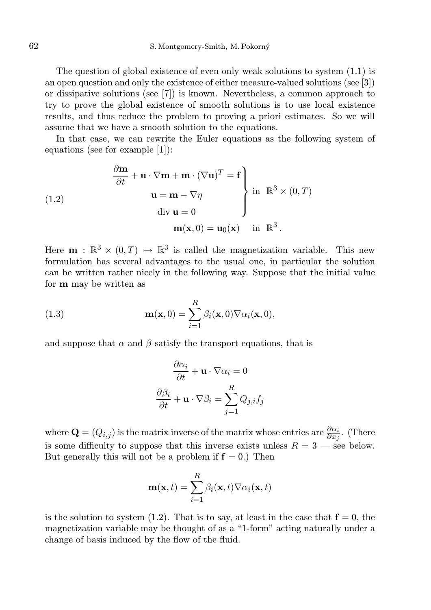The question of global existence of even only weak solutions to system  $(1.1)$  is an open question and only the existence of either measure-valued solutions (see [3]) or dissipative solutions (see [7]) is known. Nevertheless, a common approach to try to prove the global existence of smooth solutions is to use local existence results, and thus reduce the problem to proving a priori estimates. So we will assume that we have a smooth solution to the equations.

In that case, we can rewrite the Euler equations as the following system of equations (see for example [1]):

(1.2)  
\n
$$
\begin{aligned}\n\frac{\partial \mathbf{m}}{\partial t} + \mathbf{u} \cdot \nabla \mathbf{m} + \mathbf{m} \cdot (\nabla \mathbf{u})^T &= \mathbf{f} \\
\mathbf{u} &= \mathbf{m} - \nabla \eta \\
\text{div } \mathbf{u} &= 0 \\
\mathbf{m}(\mathbf{x}, 0) &= \mathbf{u}_0(\mathbf{x}) \quad \text{in } \mathbb{R}^3.\n\end{aligned}
$$

Here  $\mathbf{m} : \mathbb{R}^3 \times (0,T) \mapsto \mathbb{R}^3$  is called the magnetization variable. This new formulation has several advantages to the usual one, in particular the solution can be written rather nicely in the following way. Suppose that the initial value for m may be written as

(1.3) 
$$
\mathbf{m}(\mathbf{x},0) = \sum_{i=1}^{R} \beta_i(\mathbf{x},0) \nabla \alpha_i(\mathbf{x},0),
$$

and suppose that  $\alpha$  and  $\beta$  satisfy the transport equations, that is

$$
\frac{\partial \alpha_i}{\partial t} + \mathbf{u} \cdot \nabla \alpha_i = 0
$$

$$
\frac{\partial \beta_i}{\partial t} + \mathbf{u} \cdot \nabla \beta_i = \sum_{j=1}^R Q_{j,i} f_j
$$

where  $\mathbf{Q} = (Q_{i,j})$  is the matrix inverse of the matrix whose entries are  $\frac{\partial \alpha_i}{\partial x_j}$ . (There is some difficulty to suppose that this inverse exists unless  $R = 3$  — see below. But generally this will not be a problem if  $f = 0$ .) Then

$$
\mathbf{m}(\mathbf{x},t) = \sum_{i=1}^{R} \beta_i(\mathbf{x},t) \nabla \alpha_i(\mathbf{x},t)
$$

is the solution to system (1.2). That is to say, at least in the case that  $\mathbf{f} = 0$ , the magnetization variable may be thought of as a "1-form" acting naturally under a change of basis induced by the flow of the fluid.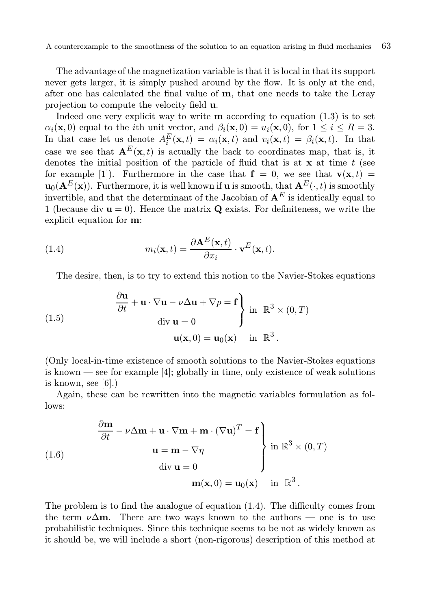A counterexample to the smoothness of the solution to an equation arising in fluid mechanics 63

The advantage of the magnetization variable is that it is local in that its support never gets larger, it is simply pushed around by the flow. It is only at the end, after one has calculated the final value of m, that one needs to take the Leray projection to compute the velocity field u.

Indeed one very explicit way to write  **according to equation**  $(1.3)$  **is to set**  $\alpha_i(\mathbf{x}, 0)$  equal to the *i*th unit vector, and  $\beta_i(\mathbf{x}, 0) = u_i(\mathbf{x}, 0)$ , for  $1 \le i \le R = 3$ . In that case let us denote  $A_i^E(\mathbf{x}, t) = \alpha_i(\mathbf{x}, t)$  and  $v_i(\mathbf{x}, t) = \beta_i(\mathbf{x}, t)$ . In that case we see that  $\mathbf{A}^E(\mathbf{x},t)$  is actually the back to coordinates map, that is, it denotes the initial position of the particle of fluid that is at  $x$  at time t (see for example [1]). Furthermore in the case that  $f = 0$ , we see that  $v(x, t) =$  $u_0(A^E(x))$ . Furthermore, it is well known if u is smooth, that  $A^E(\cdot, t)$  is smoothly invertible, and that the determinant of the Jacobian of  $A^E$  is identically equal to 1 (because div  $\mathbf{u} = 0$ ). Hence the matrix **Q** exists. For definiteness, we write the explicit equation for m:

(1.4) 
$$
m_i(\mathbf{x},t) = \frac{\partial \mathbf{A}^E(\mathbf{x},t)}{\partial x_i} \cdot \mathbf{v}^E(\mathbf{x},t).
$$

The desire, then, is to try to extend this notion to the Navier-Stokes equations

(1.5)  
\n
$$
\frac{\partial \mathbf{u}}{\partial t} + \mathbf{u} \cdot \nabla \mathbf{u} - \nu \Delta \mathbf{u} + \nabla p = \mathbf{f} \Bigg\} \text{ in } \mathbb{R}^3 \times (0, T)
$$
\n
$$
\text{div } \mathbf{u} = 0
$$
\n
$$
\mathbf{u}(\mathbf{x}, 0) = \mathbf{u}_0(\mathbf{x}) \text{ in } \mathbb{R}^3.
$$

(Only local-in-time existence of smooth solutions to the Navier-Stokes equations is known — see for example  $[4]$ ; globally in time, only existence of weak solutions is known, see [6].)

Again, these can be rewritten into the magnetic variables formulation as follows:

(1.6)  
\n
$$
\frac{\partial \mathbf{m}}{\partial t} - \nu \Delta \mathbf{m} + \mathbf{u} \cdot \nabla \mathbf{m} + \mathbf{m} \cdot (\nabla \mathbf{u})^T = \mathbf{f}
$$
\n
$$
\mathbf{u} = \mathbf{m} - \nabla \eta
$$
\n
$$
\text{div } \mathbf{u} = 0
$$
\n
$$
\mathbf{m}(\mathbf{x}, 0) = \mathbf{u}_0(\mathbf{x}) \quad \text{in } \mathbb{R}^3.
$$

The problem is to find the analogue of equation (1.4). The difficulty comes from the term  $\nu\Delta m$ . There are two ways known to the authors — one is to use probabilistic techniques. Since this technique seems to be not as widely known as it should be, we will include a short (non-rigorous) description of this method at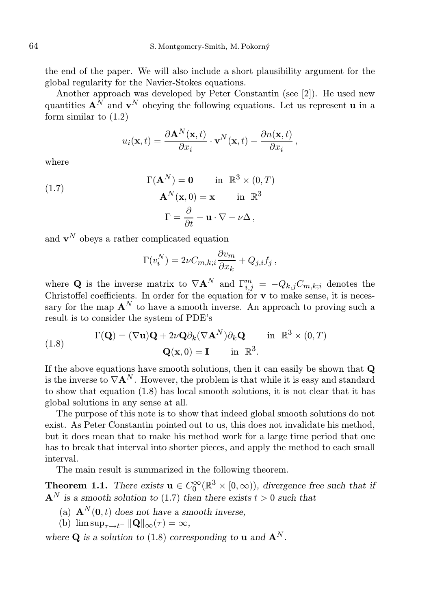the end of the paper. We will also include a short plausibility argument for the global regularity for the Navier-Stokes equations.

Another approach was developed by Peter Constantin (see [2]). He used new quantities  $\mathbf{A}^{N}$  and  $\mathbf{v}^{N}$  obeying the following equations. Let us represent **u** in a form similar to (1.2)

$$
u_i(\mathbf{x},t) = \frac{\partial \mathbf{A}^N(\mathbf{x},t)}{\partial x_i} \cdot \mathbf{v}^N(\mathbf{x},t) - \frac{\partial n(\mathbf{x},t)}{\partial x_i},
$$

where

(1.7) 
$$
\Gamma(\mathbf{A}^{N}) = \mathbf{0} \quad \text{in } \mathbb{R}^{3} \times (0, T)
$$

$$
\mathbf{A}^{N}(\mathbf{x}, 0) = \mathbf{x} \quad \text{in } \mathbb{R}^{3}
$$

$$
\Gamma = \frac{\partial}{\partial t} + \mathbf{u} \cdot \nabla - \nu \Delta,
$$

and  $\mathbf{v}^N$  obeys a rather complicated equation

$$
\Gamma(v_i^N) = 2\nu C_{m,k;i} \frac{\partial v_m}{\partial x_k} + Q_{j,i} f_j,
$$

where Q is the inverse matrix to  $\nabla \mathbf{A}^N$  and  $\Gamma^m_{i,j} = -Q_{k,j}C_{m,k;i}$  denotes the Christoffel coefficients. In order for the equation for  $\bf{v}$  to make sense, it is necessary for the map  $\mathbf{A}^{N}$  to have a smooth inverse. An approach to proving such a result is to consider the system of PDE's

(1.8) 
$$
\Gamma(\mathbf{Q}) = (\nabla \mathbf{u})\mathbf{Q} + 2\nu \mathbf{Q} \partial_k (\nabla \mathbf{A}^N) \partial_k \mathbf{Q} \quad \text{in } \mathbb{R}^3 \times (0, T)
$$

$$
\mathbf{Q}(\mathbf{x}, 0) = \mathbf{I} \quad \text{in } \mathbb{R}^3.
$$

If the above equations have smooth solutions, then it can easily be shown that Q is the inverse to  $\nabla \mathbf{A}^{N}$ . However, the problem is that while it is easy and standard to show that equation (1.8) has local smooth solutions, it is not clear that it has global solutions in any sense at all.

The purpose of this note is to show that indeed global smooth solutions do not exist. As Peter Constantin pointed out to us, this does not invalidate his method, but it does mean that to make his method work for a large time period that one has to break that interval into shorter pieces, and apply the method to each small interval.

The main result is summarized in the following theorem.

**Theorem 1.1.** There exists  $\mathbf{u} \in C_0^{\infty}(\mathbb{R}^3 \times [0, \infty))$ , divergence free such that if  ${\bf A}^N$  is a smooth solution to (1.7) then there exists  $t > 0$  such that

- (a)  $\mathbf{A}^{N}(\mathbf{0}, t)$  does not have a smooth inverse,
- (b)  $\limsup_{\tau \to t^-} ||\mathbf{Q}||_{\infty}(\tau) = \infty$ ,

where **Q** is a solution to (1.8) corresponding to **u** and  $\mathbf{A}^{N}$ .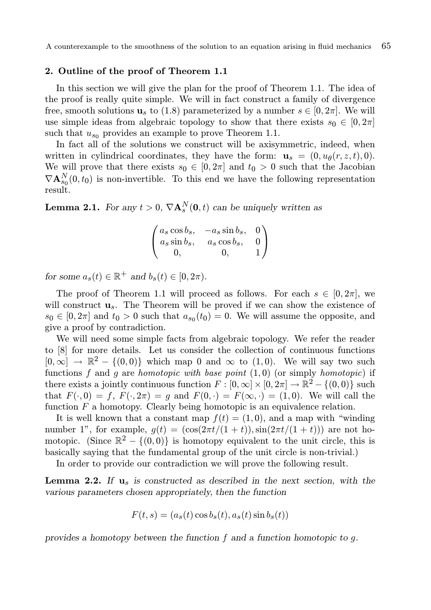A counterexample to the smoothness of the solution to an equation arising in fluid mechanics 65

### 2. Outline of the proof of Theorem 1.1

In this section we will give the plan for the proof of Theorem 1.1. The idea of the proof is really quite simple. We will in fact construct a family of divergence free, smooth solutions  $\mathbf{u}_s$  to (1.8) parameterized by a number  $s \in [0, 2\pi]$ . We will use simple ideas from algebraic topology to show that there exists  $s_0 \in [0, 2\pi]$ such that  $u_{s_0}$  provides an example to prove Theorem 1.1.

In fact all of the solutions we construct will be axisymmetric, indeed, when written in cylindrical coordinates, they have the form:  $\mathbf{u}_s = (0, u_\theta(r, z, t), 0)$ . We will prove that there exists  $s_0 \in [0, 2\pi]$  and  $t_0 > 0$  such that the Jacobian  $\nabla \mathbf{A}_{s_0}^N(0, t_0)$  is non-invertible. To this end we have the following representation result.

**Lemma 2.1.** For any  $t > 0$ ,  $\nabla \mathbf{A}_s^N(\mathbf{0}, t)$  can be uniquely written as

| $\int a_s \cos b_s,$ | $-a_s \sin b_s,$ | 0 <sup>1</sup> |
|----------------------|------------------|----------------|
| $a_s \sin b_s$ ,     | $a_s \cos b_s$   | 0              |
|                      | $\Omega$ .       |                |

for some  $a_s(t) \in \mathbb{R}^+$  and  $b_s(t) \in [0, 2\pi)$ .

The proof of Theorem 1.1 will proceed as follows. For each  $s \in [0, 2\pi]$ , we will construct  $\mathbf{u}_s$ . The Theorem will be proved if we can show the existence of  $s_0 \in [0, 2\pi]$  and  $t_0 > 0$  such that  $a_{s_0}(t_0) = 0$ . We will assume the opposite, and give a proof by contradiction.

We will need some simple facts from algebraic topology. We refer the reader to [8] for more details. Let us consider the collection of continuous functions  $[0, \infty] \rightarrow \mathbb{R}^2 - \{(0, 0)\}$  which map 0 and  $\infty$  to  $(1, 0)$ . We will say two such functions f and g are homotopic with base point  $(1, 0)$  (or simply homotopic) if there exists a jointly continuous function  $F : [0, \infty] \times [0, 2\pi] \to \mathbb{R}^2 - \{(0, 0)\}$  such that  $F(\cdot, 0) = f$ ,  $F(\cdot, 2\pi) = q$  and  $F(0, \cdot) = F(\infty, \cdot) = (1, 0)$ . We will call the function  $F$  a homotopy. Clearly being homotopic is an equivalence relation.

It is well known that a constant map  $f(t) = (1, 0)$ , and a map with "winding" number 1", for example,  $g(t) = (\cos(2\pi t/(1+t)), \sin(2\pi t/(1+t)))$  are not homotopic. (Since  $\mathbb{R}^2 - \{(0,0)\}\$ is homotopy equivalent to the unit circle, this is basically saying that the fundamental group of the unit circle is non-trivial.)

In order to provide our contradiction we will prove the following result.

**Lemma 2.2.** If  $u_s$  is constructed as described in the next section, with the various parameters chosen appropriately, then the function

$$
F(t,s) = (a_s(t)\cos b_s(t), a_s(t)\sin b_s(t))
$$

provides a homotopy between the function  $f$  and a function homotopic to  $g$ .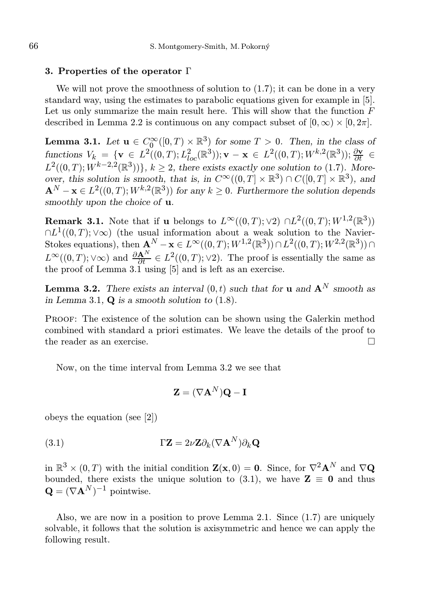#### 3. Properties of the operator Γ

We will not prove the smoothness of solution to  $(1.7)$ ; it can be done in a very standard way, using the estimates to parabolic equations given for example in [5]. Let us only summarize the main result here. This will show that the function  $F$ described in Lemma 2.2 is continuous on any compact subset of  $[0, \infty) \times [0, 2\pi]$ .

**Lemma 3.1.** Let  $\mathbf{u} \in C_0^{\infty}([0,T) \times \mathbb{R}^3)$  for some  $T > 0$ . Then, in the class of functions  $V_k = \{ \mathbf{v} \in L^2((0,T); L^2_{loc}(\mathbb{R}^3)); \mathbf{v} - \mathbf{x} \in L^2((0,T); W^{k,2}(\mathbb{R}^3)); \frac{\partial \mathbf{v}}{\partial t} \in$  $L^2((0,T);W^{k-2,2}(\mathbb{R}^3))\}, k\geq 2$ , there exists exactly one solution to (1.7). Moreover, this solution is smooth, that is, in  $C^{\infty}((0,T] \times \mathbb{R}^3) \cap C([0,T] \times \mathbb{R}^3)$ , and  $\mathbf{A}^{N}-\mathbf{x}\in L^{2}((0,T);W^{k,2}(\mathbb{R}^{3}))$  for any  $k\geq 0$ . Furthermore the solution depends smoothly upon the choice of  $u$ .

**Remark 3.1.** Note that if **u** belongs to  $L^{\infty}((0,T);\vee 2) \cap L^2((0,T);W^{1,2}(\mathbb{R}^3))$  $\cap L^1((0,T);\vee\infty)$  (the usual information about a weak solution to the Navier-Stokes equations), then  $\mathbf{A}^N - \mathbf{x} \in L^\infty((0,T);W^{1,2}(\mathbb{R}^3)) \cap L^2((0,T);W^{2,2}(\mathbb{R}^3)) \cap$  $L^{\infty}((0,T);\vee\infty)$  and  $\frac{\partial \mathbf{A}^{N}}{\partial t} \in L^{2}((0,T);\vee 2)$ . The proof is essentially the same as the proof of Lemma 3.1 using [5] and is left as an exercise.

**Lemma 3.2.** There exists an interval  $(0, t)$  such that for **u** and  $\mathbf{A}^{N}$  smooth as in Lemma 3.1,  $Q$  is a smooth solution to  $(1.8)$ .

Proof: The existence of the solution can be shown using the Galerkin method combined with standard a priori estimates. We leave the details of the proof to the reader as an exercise.

Now, on the time interval from Lemma 3.2 we see that

$$
\mathbf{Z} = (\nabla \mathbf{A}^N) \mathbf{Q} - \mathbf{I}
$$

obeys the equation (see [2])

(3.1) 
$$
\Gamma \mathbf{Z} = 2\nu \mathbf{Z} \partial_k (\nabla \mathbf{A}^N) \partial_k \mathbf{Q}
$$

in  $\mathbb{R}^3 \times (0,T)$  with the initial condition  $\mathbf{Z}(\mathbf{x},0) = \mathbf{0}$ . Since, for  $\nabla^2 \mathbf{A}^N$  and  $\nabla \mathbf{Q}$ bounded, there exists the unique solution to (3.1), we have  $\mathbf{Z} \equiv \mathbf{0}$  and thus  $\mathbf{Q} = (\nabla \mathbf{A}^N)^{-1}$  pointwise.

Also, we are now in a position to prove Lemma 2.1. Since (1.7) are uniquely solvable, it follows that the solution is axisymmetric and hence we can apply the following result.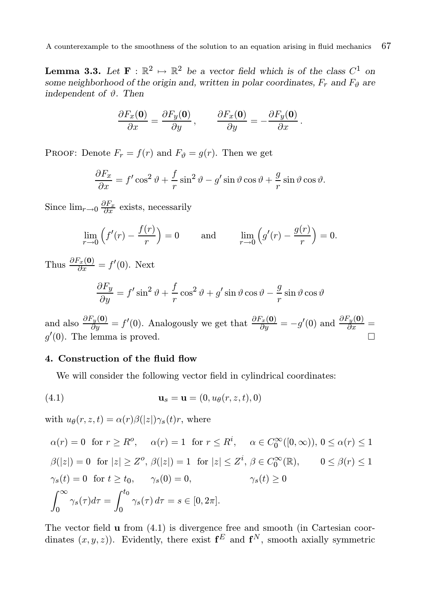**Lemma 3.3.** Let  $\mathbf{F} : \mathbb{R}^2 \to \mathbb{R}^2$  be a vector field which is of the class  $C^1$  on some neighborhood of the origin and, written in polar coordinates,  $F_r$  and  $F_\vartheta$  are independent of  $\vartheta$ . Then

$$
\frac{\partial F_x(\mathbf{0})}{\partial x} = \frac{\partial F_y(\mathbf{0})}{\partial y}, \qquad \frac{\partial F_x(\mathbf{0})}{\partial y} = -\frac{\partial F_y(\mathbf{0})}{\partial x}.
$$

PROOF: Denote  $F_r = f(r)$  and  $F_{\vartheta} = g(r)$ . Then we get

$$
\frac{\partial F_x}{\partial x} = f' \cos^2 \vartheta + \frac{f}{r} \sin^2 \vartheta - g' \sin \vartheta \cos \vartheta + \frac{g}{r} \sin \vartheta \cos \vartheta.
$$

Since  $\lim_{r\to 0} \frac{\partial F_x}{\partial x}$  exists, necessarily

$$
\lim_{r \to 0} \left( f'(r) - \frac{f(r)}{r} \right) = 0 \quad \text{and} \quad \lim_{r \to 0} \left( g'(r) - \frac{g(r)}{r} \right) = 0.
$$

Thus  $\frac{\partial F_x(\mathbf{0})}{\partial x} = f'(0)$ . Next

$$
\frac{\partial F_y}{\partial y} = f' \sin^2 \vartheta + \frac{f}{r} \cos^2 \vartheta + g' \sin \vartheta \cos \vartheta - \frac{g}{r} \sin \vartheta \cos \vartheta
$$

and also  $\frac{\partial F_y(\mathbf{0})}{\partial y} = f'(0)$ . Analogously we get that  $\frac{\partial F_x(\mathbf{0})}{\partial y} = -g'(0)$  and  $\frac{\partial F_y(\mathbf{0})}{\partial x} =$  $g'(0)$ . The lemma is proved.

### 4. Construction of the fluid flow

We will consider the following vector field in cylindrical coordinates:

$$
\mathbf{u}_s = \mathbf{u} = (0, u_\theta(r, z, t), 0)
$$

with  $u_{\theta}(r, z, t) = \alpha(r)\beta(|z|)\gamma_s(t)r$ , where

$$
\alpha(r) = 0 \text{ for } r \ge R^o, \quad \alpha(r) = 1 \text{ for } r \le R^i, \quad \alpha \in C_0^{\infty}([0, \infty)), 0 \le \alpha(r) \le 1
$$
  

$$
\beta(|z|) = 0 \text{ for } |z| \ge Z^o, \beta(|z|) = 1 \text{ for } |z| \le Z^i, \beta \in C_0^{\infty}(\mathbb{R}), \quad 0 \le \beta(r) \le 1
$$
  

$$
\gamma_s(t) = 0 \text{ for } t \ge t_0, \quad \gamma_s(0) = 0, \quad \gamma_s(t) \ge 0
$$
  

$$
\int_0^{\infty} \gamma_s(\tau) d\tau = \int_0^{t_0} \gamma_s(\tau) d\tau = s \in [0, 2\pi].
$$

The vector field u from (4.1) is divergence free and smooth (in Cartesian coordinates  $(x, y, z)$ ). Evidently, there exist  $f<sup>E</sup>$  and  $f<sup>N</sup>$ , smooth axially symmetric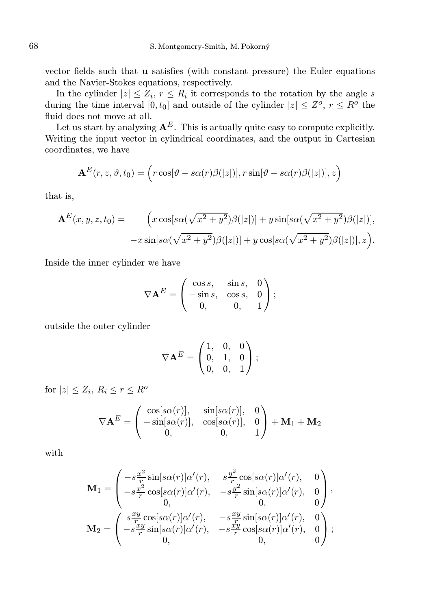vector fields such that u satisfies (with constant pressure) the Euler equations and the Navier-Stokes equations, respectively.

In the cylinder  $|z| \leq Z_i$ ,  $r \leq R_i$  it corresponds to the rotation by the angle s during the time interval  $[0, t_0]$  and outside of the cylinder  $|z| \leq Z^o$ ,  $r \leq R^o$  the fluid does not move at all.

Let us start by analyzing  $A^E$ . This is actually quite easy to compute explicitly. Writing the input vector in cylindrical coordinates, and the output in Cartesian coordinates, we have

$$
\mathbf{A}^{E}(r, z, \vartheta, t_0) = \left(r \cos[\vartheta - s\alpha(r)\beta(|z|)], r \sin[\vartheta - s\alpha(r)\beta(|z|)], z\right)
$$

that is,

$$
\mathbf{A}^{E}(x, y, z, t_{0}) = \qquad \left(x \cos[s\alpha(\sqrt{x^{2} + y^{2}})\beta(|z|)] + y \sin[s\alpha(\sqrt{x^{2} + y^{2}})\beta(|z|)], -x \sin[s\alpha(\sqrt{x^{2} + y^{2}})\beta(|z|)] + y \cos[s\alpha(\sqrt{x^{2} + y^{2}})\beta(|z|)], z\right).
$$

Inside the inner cylinder we have

$$
\nabla \mathbf{A}^E = \begin{pmatrix} \cos s, & \sin s, & 0 \\ -\sin s, & \cos s, & 0 \\ 0, & 0, & 1 \end{pmatrix};
$$

outside the outer cylinder

$$
\nabla \mathbf{A}^E = \begin{pmatrix} 1, & 0, & 0 \\ 0, & 1, & 0 \\ 0, & 0, & 1 \end{pmatrix};
$$

for  $|z| \leq Z_i$ ,  $R_i \leq r \leq R^o$ 

$$
\nabla \mathbf{A}^E = \begin{pmatrix} \cos[s\alpha(r)], & \sin[s\alpha(r)], & 0\\ -\sin[s\alpha(r)], & \cos[s\alpha(r)], & 0\\ 0, & 0, & 1 \end{pmatrix} + \mathbf{M}_1 + \mathbf{M}_2
$$

with

$$
\mathbf{M}_{1} = \begin{pmatrix}\n-s\frac{x^{2}}{r}\sin[s\alpha(r)]\alpha'(r), & s\frac{y^{2}}{r}\cos[s\alpha(r)]\alpha'(r), & 0 \\
-s\frac{x^{2}}{r}\cos[s\alpha(r)]\alpha'(r), & -s\frac{y^{2}}{r}\sin[s\alpha(r)]\alpha'(r), & 0 \\
0, & 0, & 0\n\end{pmatrix},
$$
\n
$$
\mathbf{M}_{2} = \begin{pmatrix}\ns\frac{xy}{r}\cos[s\alpha(r)]\alpha'(r), & -s\frac{xy}{r}\sin[s\alpha(r)]\alpha'(r), & 0 \\
-s\frac{xy}{r}\sin[s\alpha(r)]\alpha'(r), & -s\frac{xy}{r}\cos[s\alpha(r)]\alpha'(r), & 0 \\
0, & 0, & 0\n\end{pmatrix};
$$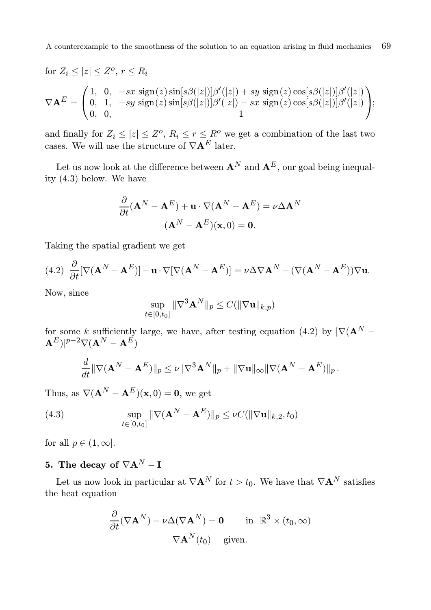for 
$$
Z_i \leq |z| \leq Z^o
$$
,  $r \leq R_i$ \n
$$
\nabla \mathbf{A}^E = \begin{pmatrix} 1, & 0, & -sx \operatorname{sign}(z) \operatorname{sin}[s\beta(|z|)]\beta'(|z|) + sy \operatorname{sign}(z) \operatorname{cos}[s\beta(|z|)]\beta'(|z|) \\ 0, & 1, & -sy \operatorname{sign}(z) \operatorname{sin}[s\beta(|z|)]\beta'(|z|) - sx \operatorname{sign}(z) \operatorname{cos}[s\beta(|z|)]\beta'(|z|) \\ 0, & 0, & 1 \end{pmatrix};
$$

and finally for  $Z_i \leq |z| \leq Z^o$ ,  $R_i \leq r \leq R^o$  we get a combination of the last two cases. We will use the structure of  $\nabla \mathbf{A}^E$  later.

Let us now look at the difference between  $\mathbf{A}^{N}$  and  $\mathbf{A}^{E}$ , our goal being inequality (4.3) below. We have

$$
\frac{\partial}{\partial t}(\mathbf{A}^N - \mathbf{A}^E) + \mathbf{u} \cdot \nabla(\mathbf{A}^N - \mathbf{A}^E) = \nu \Delta \mathbf{A}^N
$$

$$
(\mathbf{A}^N - \mathbf{A}^E)(\mathbf{x}, 0) = \mathbf{0}.
$$

Taking the spatial gradient we get

(4.2) 
$$
\frac{\partial}{\partial t} [\nabla (\mathbf{A}^N - \mathbf{A}^E)] + \mathbf{u} \cdot \nabla [\nabla (\mathbf{A}^N - \mathbf{A}^E)] = \nu \Delta \nabla \mathbf{A}^N - (\nabla (\mathbf{A}^N - \mathbf{A}^E)) \nabla \mathbf{u}.
$$

Now, since

$$
\sup_{t\in[0,t_0]}\|\nabla^3\mathbf{A}^N\|_p\leq C(\|\nabla\mathbf{u}\|_{k,p})
$$

for some k sufficiently large, we have, after testing equation (4.2) by  $|\nabla(\mathbf{A}^N (\mathbf{A}^E)|^{p-2}\nabla(\mathbf{A}^N-\mathbf{A}^E)$ 

$$
\frac{d}{dt} \|\nabla (\mathbf{A}^N - \mathbf{A}^E) \|_p \leq \nu \|\nabla^3 \mathbf{A}^N \|_p + \|\nabla \mathbf{u} \|_\infty \|\nabla (\mathbf{A}^N - \mathbf{A}^E) \|_p.
$$

Thus, as  $\nabla (\mathbf{A}^{N} - \mathbf{A}^{E})(\mathbf{x}, 0) = \mathbf{0}$ , we get

(4.3) 
$$
\sup_{t\in[0,t_0]}\|\nabla(\mathbf{A}^N-\mathbf{A}^E)\|_p\leq \nu C(\|\nabla\mathbf{u}\|_{k,2},t_0)
$$

for all  $p \in (1, \infty]$ .

## 5. The decay of  $\nabla \mathbf{A}^N - \mathbf{I}$

Let us now look in particular at  $\nabla \mathbf{A}^N$  for  $t > t_0$ . We have that  $\nabla \mathbf{A}^N$  satisfies the heat equation

$$
\frac{\partial}{\partial t} (\nabla \mathbf{A}^N) - \nu \Delta (\nabla \mathbf{A}^N) = \mathbf{0} \quad \text{in } \mathbb{R}^3 \times (t_0, \infty)
$$

$$
\nabla \mathbf{A}^N(t_0) \quad \text{given.}
$$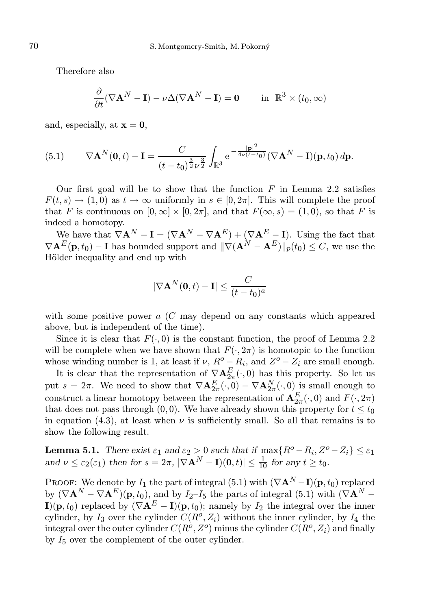Therefore also

$$
\frac{\partial}{\partial t} (\nabla \mathbf{A}^N - \mathbf{I}) - \nu \Delta (\nabla \mathbf{A}^N - \mathbf{I}) = \mathbf{0} \quad \text{in } \mathbb{R}^3 \times (t_0, \infty)
$$

and, especially, at  $\mathbf{x} = \mathbf{0}$ ,

(5.1) 
$$
\nabla \mathbf{A}^{N}(\mathbf{0},t) - \mathbf{I} = \frac{C}{(t-t_0)^{\frac{3}{2}}\nu^{\frac{3}{2}}} \int_{\mathbb{R}^3} e^{-\frac{|\mathbf{p}|^2}{4\nu(t-t_0)}} (\nabla \mathbf{A}^{N} - \mathbf{I})(\mathbf{p},t_0) d\mathbf{p}.
$$

Our first goal will be to show that the function  $F$  in Lemma 2.2 satisfies  $F(t, s) \to (1, 0)$  as  $t \to \infty$  uniformly in  $s \in [0, 2\pi]$ . This will complete the proof that F is continuous on  $[0, \infty] \times [0, 2\pi]$ , and that  $F(\infty, s) = (1, 0)$ , so that F is indeed a homotopy.

We have that  $\nabla \mathbf{A}^N - \mathbf{I} = (\nabla \mathbf{A}^N - \nabla \mathbf{A}^E) + (\nabla \mathbf{A}^E - \mathbf{I})$ . Using the fact that  $\nabla \mathbf{A}^E(\mathbf{p}, t_0) - \mathbf{I}$  has bounded support and  $\|\nabla (\mathbf{A}^N - \mathbf{A}^E)\|_{p}(t_0) \leq C$ , we use the Hölder inequality and end up with

$$
|\nabla \mathbf{A}^N(\mathbf{0},t)-\mathbf{I}| \leq \frac{C}{(t-t_0)^a}
$$

with some positive power a (C may depend on any constants which appeared above, but is independent of the time).

Since it is clear that  $F(\cdot, 0)$  is the constant function, the proof of Lemma 2.2 will be complete when we have shown that  $F(\cdot, 2\pi)$  is homotopic to the function whose winding number is 1, at least if  $\nu$ ,  $R^o - R_i$ , and  $Z^o - Z_i$  are small enough.

It is clear that the representation of  $\nabla A_{2\pi}^{E}(\cdot,0)$  has this property. So let us put  $s = 2\pi$ . We need to show that  $\nabla \mathbf{A}_{2\pi}^E(\cdot,0) - \nabla \mathbf{A}_{2\pi}^N(\cdot,0)$  is small enough to construct a linear homotopy between the representation of  ${\bf A}_{2\pi}^E(\cdot,0)$  and  $F(\cdot,2\pi)$ that does not pass through (0,0). We have already shown this property for  $t \leq t_0$ in equation (4.3), at least when  $\nu$  is sufficiently small. So all that remains is to show the following result.

**Lemma 5.1.** There exist  $\varepsilon_1$  and  $\varepsilon_2 > 0$  such that if  $\max\{R^o - R_i, Z^o - Z_i\} \leq \varepsilon_1$ and  $\nu \leq \varepsilon_2(\varepsilon_1)$  then for  $s = 2\pi$ ,  $|\nabla \mathbf{A}^N - \mathbf{I})(\mathbf{0}, t)| \leq \frac{1}{10}$  for any  $t \geq t_0$ .

PROOF: We denote by  $I_1$  the part of integral (5.1) with  $(\nabla \mathbf{A}^N - \mathbf{I})(\mathbf{p}, t_0)$  replaced by  $(\nabla \mathbf{A}^N - \nabla \mathbf{A}^E)(\mathbf{p}, t_0)$ , and by  $I_2-I_5$  the parts of integral (5.1) with  $(\nabla \mathbf{A}^N - \nabla \mathbf{A}^E)(\mathbf{p}, t_0)$  $\mathbf{I}(\mathbf{p}, t_0)$  replaced by  $(\nabla \mathbf{A}^E - \mathbf{I})(\mathbf{p}, t_0)$ ; namely by  $I_2$  the integral over the inner cylinder, by  $I_3$  over the cylinder  $C(R^o, Z_i)$  without the inner cylinder, by  $I_4$  the integral over the outer cylinder  $C(R^o, Z^o)$  minus the cylinder  $C(R^o, Z_i)$  and finally by  $I_5$  over the complement of the outer cylinder.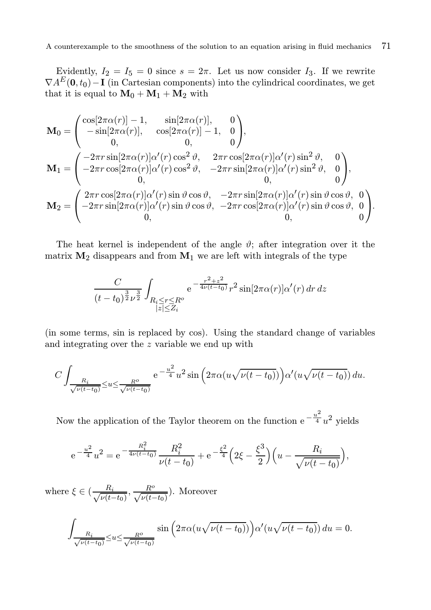Evidently,  $I_2 = I_5 = 0$  since  $s = 2\pi$ . Let us now consider  $I_3$ . If we rewrite  $\nabla A^{E}(\mathbf{0}, t_0) - \mathbf{I}$  (in Cartesian components) into the cylindrical coordinates, we get that it is equal to  $M_0 + M_1 + M_2$  with

$$
\mathbf{M}_0 = \begin{pmatrix}\n\cos[2\pi\alpha(r)] - 1, & \sin[2\pi\alpha(r)], & 0 \\
-\sin[2\pi\alpha(r)], & \cos[2\pi\alpha(r)] - 1, & 0 \\
0, & 0, & 0\n\end{pmatrix},
$$
\n
$$
\mathbf{M}_1 = \begin{pmatrix}\n-2\pi r \sin[2\pi\alpha(r)]\alpha'(r) \cos^2\vartheta, & 2\pi r \cos[2\pi\alpha(r)]\alpha'(r) \sin^2\vartheta, & 0 \\
-2\pi r \cos[2\pi\alpha(r)]\alpha'(r) \cos^2\vartheta, & -2\pi r \sin[2\pi\alpha(r)]\alpha'(r) \sin^2\vartheta, & 0 \\
0, & 0, & 0\n\end{pmatrix},
$$
\n
$$
\mathbf{M}_2 = \begin{pmatrix}\n2\pi r \cos[2\pi\alpha(r)]\alpha'(r) \sin\vartheta \cos\vartheta, & -2\pi r \sin[2\pi\alpha(r)]\alpha'(r) \sin\vartheta \cos\vartheta, & 0 \\
-2\pi r \sin[2\pi\alpha(r)]\alpha'(r) \sin\vartheta \cos\vartheta, & -2\pi r \cos[2\pi\alpha(r)]\alpha'(r) \sin\vartheta \cos\vartheta, & 0 \\
0, & 0, & 0\n\end{pmatrix}.
$$

The heat kernel is independent of the angle  $\vartheta$ ; after integration over it the matrix  $M_2$  disappears and from  $M_1$  we are left with integrals of the type

$$
\frac{C}{(t-t_0)^{\frac{3}{2}}\nu^{\frac{3}{2}}}\int_{\substack{R_i \le r \le R^o\\|z| \le \mathbb{Z}_i}} e^{-\frac{r^2 + z^2}{4\nu(t-t_0)}} r^2 \sin[2\pi\alpha(r)]\alpha'(r) dr dz
$$

(in some terms, sin is replaced by cos). Using the standard change of variables and integrating over the z variable we end up with

$$
C\int_{\frac{R_i}{\sqrt{\nu(t-t_0)}}\leq u\leq \frac{R^o}{\sqrt{\nu(t-t_0)}}} e^{-\frac{u^2}{4}} u^2 \sin\left(2\pi\alpha(u\sqrt{\nu(t-t_0)})\right) \alpha'(u\sqrt{\nu(t-t_0)}) du.
$$

Now the application of the Taylor theorem on the function  $e^{-\frac{u^2}{4}}u^2$  yields

$$
e^{-\frac{u^2}{4}}u^2 = e^{-\frac{R_i^2}{4\nu(t-t_0)}}\frac{R_i^2}{\nu(t-t_0)} + e^{-\frac{\xi^2}{4}}\left(2\xi - \frac{\xi^3}{2}\right)\left(u - \frac{R_i}{\sqrt{\nu(t-t_0)}}\right),
$$

where  $\xi \in (\frac{R_i}{\sqrt{\nu(t+1)}})$  $\frac{R_i}{\nu(t-t_0)}, \frac{R^o}{\sqrt{\nu(t-t_0)}}$ ). Moreover

$$
\int_{\frac{R_i}{\sqrt{\nu(t-t_0)}}\leq u\leq \frac{R^o}{\sqrt{\nu(t-t_0)}}}\sin\left(2\pi\alpha(u\sqrt{\nu(t-t_0)})\right)\alpha'(u\sqrt{\nu(t-t_0)}) du = 0.
$$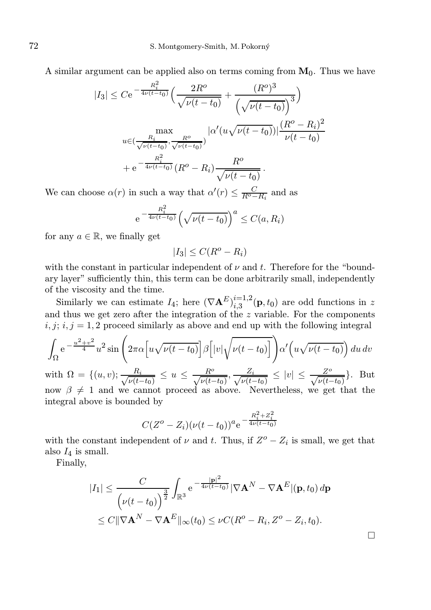A similar argument can be applied also on terms coming from  $M_0$ . Thus we have

$$
|I_3| \leq Ce^{-\frac{R_i^2}{4\nu(t-t_0)}} \left( \frac{2R^o}{\sqrt{\nu(t-t_0)}} + \frac{(R^o)^3}{\left(\sqrt{\nu(t-t_0)}\right)^3} \right)
$$
  

$$
u \in \left(\frac{R_i}{\sqrt{\nu(t-t_0)}}, \frac{R^o}{\sqrt{\nu(t-t_0)}}\right) \left|\frac{\alpha'(u\sqrt{\nu(t-t_0)})\left|\frac{(R^o - R_i)^2}{\nu(t-t_0)}\right|}{\nu(t-t_0)} + e^{-\frac{R_i^2}{4\nu(t-t_0)}} (R^o - R_i) \frac{R^o}{\sqrt{\nu(t-t_0)}}.
$$

We can choose  $\alpha(r)$  in such a way that  $\alpha'(r) \leq \frac{C}{R^o - R_i}$  and as

$$
e^{-\frac{R_i^2}{4\nu(t-t_0)}}\left(\sqrt{\nu(t-t_0)}\right)^a \leq C(a, R_i)
$$

for any  $a \in \mathbb{R}$ , we finally get

$$
|I_3| \leq C(R^o - R_i)
$$

with the constant in particular independent of  $\nu$  and  $t$ . Therefore for the "boundary layer" sufficiently thin, this term can be done arbitrarily small, independently of the viscosity and the time.

Similarly we can estimate  $I_4$ ; here  $(\nabla \mathbf{A}^E)^{i=1,2}_{i,3}$  $i_{i,3}^{i=1,2}(\mathbf{p},t_0)$  are odd functions in z and thus we get zero after the integration of the  $z$  variable. For the components  $i, j; i, j = 1, 2$  proceed similarly as above and end up with the following integral

$$
\int_{\Omega} e^{-\frac{u^2 + v^2}{4}} u^2 \sin \left( 2\pi \alpha \left[ u \sqrt{\nu (t - t_0)} \right] \beta \left[ |v| \sqrt{\nu (t - t_0)} \right] \right) \alpha' \left( u \sqrt{\nu (t - t_0)} \right) du dv
$$
\nwith  $\Omega = \{ (u, v) : \frac{R_i}{\sqrt{R_i}} \le u \le \frac{R^{\circ}}{\sqrt{R_i}} \le \frac{Z_i}{\sqrt{R_i}} \le |v| \le \frac{Z^{\circ}}{\sqrt{R_i}} \}$ . But

with  $\Omega = \{(u, v); \frac{R_i}{\sqrt{\nu(t+1)}}\}$  $\frac{R_i}{\nu(t-t_0)} \leq u \leq \frac{R^o}{\sqrt{\nu(t-t_0)}}, \frac{Z_i}{\sqrt{\nu(t-t_0)}}$  $\frac{Z_i}{\nu(t-t_0)} \leq |v| \leq \frac{Z^o}{\sqrt{\nu(t-t_0)}}$ . But now  $\beta \neq 1$  and we cannot proceed as above. Nevertheless, we get that the integral above is bounded by

$$
C(Z^{o} - Z_i)(\nu(t - t_0))^{a} e^{-\frac{R_i^2 + Z_i^2}{4\nu(t - t_0)}}
$$

with the constant independent of  $\nu$  and t. Thus, if  $Z^o - Z_i$  is small, we get that also  $I_4$  is small.

Finally,

$$
|I_1| \leq \frac{C}{\left(\nu(t-t_0)\right)^{\frac{3}{2}}} \int_{\mathbb{R}^3} e^{-\frac{|\mathbf{p}|^2}{4\nu(t-t_0)}} |\nabla \mathbf{A}^N - \nabla \mathbf{A}^E|(\mathbf{p}, t_0) d\mathbf{p}
$$
  

$$
\leq C \|\nabla \mathbf{A}^N - \nabla \mathbf{A}^E\|_{\infty}(t_0) \leq \nu C (R^o - R_i, Z^o - Z_i, t_0).
$$

 $\Box$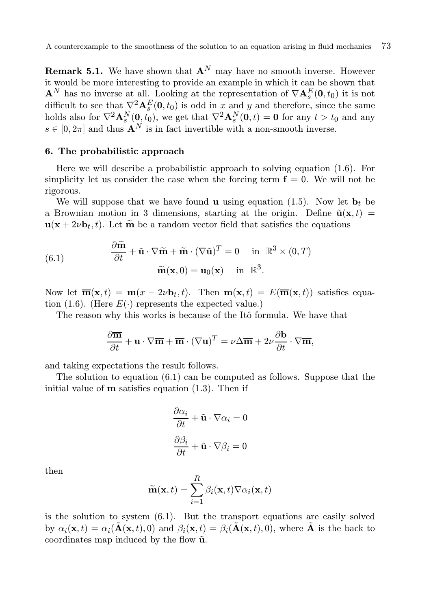**Remark 5.1.** We have shown that  $A^N$  may have no smooth inverse. However it would be more interesting to provide an example in which it can be shown that  ${\bf A}^N$  has no inverse at all. Looking at the representation of  $\nabla {\bf A}^E_s({\bf 0},t_0)$  it is not difficult to see that  $\nabla^2 \mathbf{A}_s^E(\mathbf{0}, t_0)$  is odd in x and y and therefore, since the same holds also for  $\nabla^2 \mathbf{A}_s^N(\mathbf{0}, t_0)$ , we get that  $\nabla^2 \mathbf{A}_s^N(\mathbf{0}, t) = \mathbf{0}$  for any  $t > t_0$  and any  $s \in [0, 2\pi]$  and thus  $\mathbf{A}^N$  is in fact invertible with a non-smooth inverse.

#### 6. The probabilistic approach

Here we will describe a probabilistic approach to solving equation (1.6). For simplicity let us consider the case when the forcing term  $f = 0$ . We will not be rigorous.

We will suppose that we have found **u** using equation (1.5). Now let  $\mathbf{b}_t$  be a Brownian motion in 3 dimensions, starting at the origin. Define  $\tilde{\mathbf{u}}(\mathbf{x}, t)$  $u(x + 2\nu b_t, t)$ . Let  $\tilde{m}$  be a random vector field that satisfies the equations

(6.1) 
$$
\frac{\partial \widetilde{\mathbf{m}}}{\partial t} + \widetilde{\mathbf{u}} \cdot \nabla \widetilde{\mathbf{m}} + \widetilde{\mathbf{m}} \cdot (\nabla \widetilde{\mathbf{u}})^T = 0 \text{ in } \mathbb{R}^3 \times (0, T)
$$

$$
\widetilde{\mathbf{m}}(\mathbf{x}, 0) = \mathbf{u}_0(\mathbf{x}) \text{ in } \mathbb{R}^3.
$$

Now let  $\overline{\mathbf{m}}(\mathbf{x}, t) = \mathbf{m}(x - 2\nu \mathbf{b}_t, t)$ . Then  $\mathbf{m}(\mathbf{x}, t) = E(\overline{\mathbf{m}}(\mathbf{x}, t))$  satisfies equation (1.6). (Here  $E(\cdot)$  represents the expected value.)

The reason why this works is because of the Itô formula. We have that

$$
\frac{\partial \overline{\mathbf{m}}}{\partial t} + \mathbf{u} \cdot \nabla \overline{\mathbf{m}} + \overline{\mathbf{m}} \cdot (\nabla \mathbf{u})^T = \nu \Delta \overline{\mathbf{m}} + 2\nu \frac{\partial \mathbf{b}}{\partial t} \cdot \nabla \overline{\mathbf{m}},
$$

and taking expectations the result follows.

The solution to equation  $(6.1)$  can be computed as follows. Suppose that the initial value of  **satisfies equation**  $(1.3)$ **. Then if** 

$$
\frac{\partial \alpha_i}{\partial t} + \tilde{\mathbf{u}} \cdot \nabla \alpha_i = 0
$$

$$
\frac{\partial \beta_i}{\partial t} + \tilde{\mathbf{u}} \cdot \nabla \beta_i = 0
$$

then

$$
\widetilde{\mathbf{m}}(\mathbf{x},t) = \sum_{i=1}^{R} \beta_i(\mathbf{x},t) \nabla \alpha_i(\mathbf{x},t)
$$

is the solution to system  $(6.1)$ . But the transport equations are easily solved by  $\alpha_i(\mathbf{x}, t) = \alpha_i(\tilde{\mathbf{A}}(\mathbf{x}, t), 0)$  and  $\beta_i(\mathbf{x}, t) = \beta_i(\tilde{\mathbf{A}}(\mathbf{x}, t), 0)$ , where  $\tilde{\mathbf{A}}$  is the back to coordinates map induced by the flow  $\tilde{u}$ .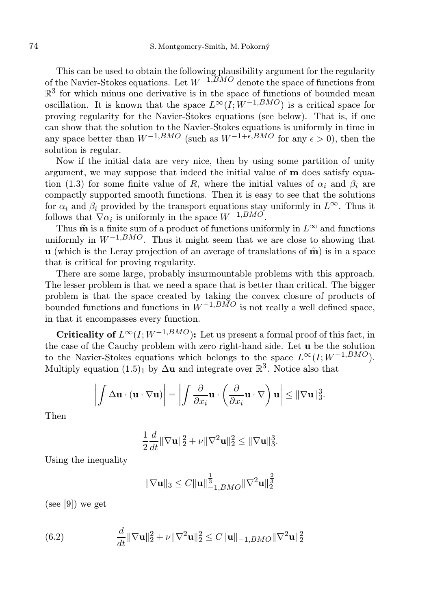This can be used to obtain the following plausibility argument for the regularity of the Navier-Stokes equations. Let  $W^{-1,\widetilde{BMO}}$  denote the space of functions from  $\mathbb{R}^3$  for which minus one derivative is in the space of functions of bounded mean oscillation. It is known that the space  $L^{\infty}(I;W^{-1,BMO})$  is a critical space for proving regularity for the Navier-Stokes equations (see below). That is, if one can show that the solution to the Navier-Stokes equations is uniformly in time in any space better than  $W^{-1,BMO}$  (such as  $W^{-1+\epsilon,BMO}$  for any  $\epsilon > 0$ ), then the solution is regular.

Now if the initial data are very nice, then by using some partition of unity argument, we may suppose that indeed the initial value of m does satisfy equation (1.3) for some finite value of R, where the initial values of  $\alpha_i$  and  $\beta_i$  are compactly supported smooth functions. Then it is easy to see that the solutions for  $\alpha_i$  and  $\beta_i$  provided by the transport equations stay uniformly in  $L^{\infty}$ . Thus it follows that  $\nabla \alpha_i$  is uniformly in the space  $W^{-1,BMO}$ .

Thus  $\widetilde{\mathbf{m}}$  is a finite sum of a product of functions uniformly in  $L^{\infty}$  and functions uniformly in  $W^{-1,BMO}$ . Thus it might seem that we are close to showing that  $u$  (which is the Leray projection of an average of translations of  $\tilde{m}$ ) is in a space that is critical for proving regularity.

There are some large, probably insurmountable problems with this approach. The lesser problem is that we need a space that is better than critical. The bigger problem is that the space created by taking the convex closure of products of bounded functions and functions in  $W^{-1,BMO}$  is not really a well defined space, in that it encompasses every function.

Criticality of  $L^{\infty}(I;W^{-1,BMO})$ : Let us present a formal proof of this fact, in the case of the Cauchy problem with zero right-hand side. Let u be the solution to the Navier-Stokes equations which belongs to the space  $L^{\infty}(I; W^{-1,BMO})$ . Multiply equation  $(1.5)_1$  by  $\Delta u$  and integrate over  $\mathbb{R}^3$ . Notice also that

$$
\left| \int \Delta \mathbf{u} \cdot (\mathbf{u} \cdot \nabla \mathbf{u}) \right| = \left| \int \frac{\partial}{\partial x_i} \mathbf{u} \cdot \left( \frac{\partial}{\partial x_i} \mathbf{u} \cdot \nabla \right) \mathbf{u} \right| \leq ||\nabla \mathbf{u}||_3^3.
$$

Then

$$
\frac{1}{2}\frac{d}{dt}\|\nabla\mathbf{u}\|_{2}^{2} + \nu\|\nabla^{2}\mathbf{u}\|_{2}^{2} \leq \|\nabla\mathbf{u}\|_{3}^{3}.
$$

Using the inequality

$$
\|\nabla\mathbf{u}\|_3 \leq C \|\mathbf{u}\|_{-1,BMO}^{\frac{1}{3}} \|\nabla^2\mathbf{u}\|_2^{\frac{2}{3}}
$$

(see [9]) we get

(6.2) 
$$
\frac{d}{dt} \|\nabla \mathbf{u}\|_2^2 + \nu \|\nabla^2 \mathbf{u}\|_2^2 \leq C \|\mathbf{u}\|_{-1, BMO} \|\nabla^2 \mathbf{u}\|_2^2
$$